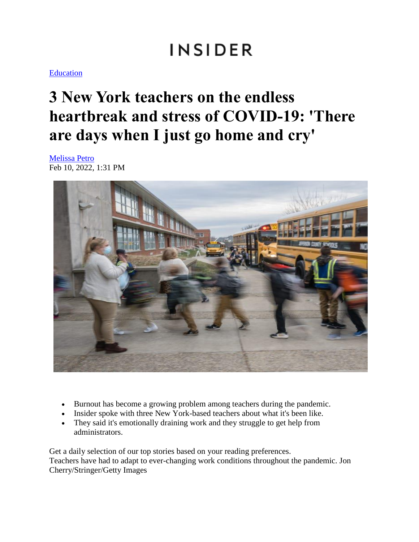# **INSIDER**

#### **Education**

## **3 New York teachers on the endless heartbreak and stress of COVID-19: 'There are days when I just go home and cry'**

[Melissa Petro](https://www.businessinsider.com/author/melissa-petro) Feb 10, 2022, 1:31 PM



- Burnout has become a growing problem among teachers during the pandemic.
- Insider spoke with three New York-based teachers about what it's been like.
- They said it's emotionally draining work and they struggle to get help from administrators.

Get a daily selection of our top stories based on your reading preferences. Teachers have had to adapt to ever-changing work conditions throughout the pandemic. Jon Cherry/Stringer/Getty Images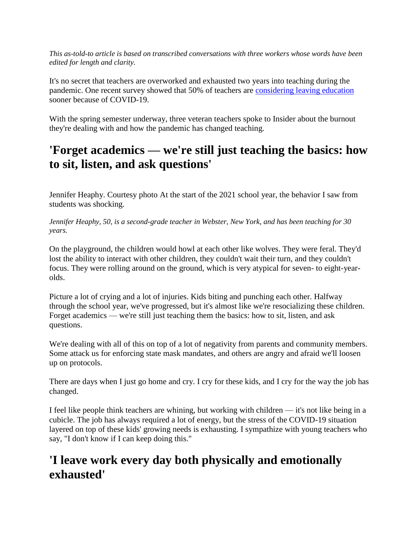*This as-told-to article is based on transcribed conversations with three workers whose words have been edited for length and clarity.*

It's no secret that teachers are overworked and exhausted two years into teaching during the pandemic. One recent survey showed that 50% of teachers are [considering leaving education](https://www.businessinsider.com/teachers-thinking-about-leaving-early-pandemic-nea-survey-2022-2) sooner because of COVID-19.

With the spring semester underway, three veteran teachers spoke to Insider about the burnout they're dealing with and how the pandemic has changed teaching.

## **'Forget academics — we're still just teaching the basics: how to sit, listen, and ask questions'**

Jennifer Heaphy. Courtesy photo At the start of the 2021 school year, the behavior I saw from students was shocking.

*Jennifer Heaphy, 50, is a second-grade teacher in Webster, New York, and has been teaching for 30 years.*

On the playground, the children would howl at each other like wolves. They were feral. They'd lost the ability to interact with other children, they couldn't wait their turn, and they couldn't focus. They were rolling around on the ground, which is very atypical for seven- to eight-yearolds.

Picture a lot of crying and a lot of injuries. Kids biting and punching each other. Halfway through the school year, we've progressed, but it's almost like we're resocializing these children. Forget academics — we're still just teaching them the basics: how to sit, listen, and ask questions.

We're dealing with all of this on top of a lot of negativity from parents and community members. Some attack us for enforcing state mask mandates, and others are angry and afraid we'll loosen up on protocols.

There are days when I just go home and cry. I cry for these kids, and I cry for the way the job has changed.

I feel like people think teachers are whining, but working with children — it's not like being in a cubicle. The job has always required a lot of energy, but the stress of the COVID-19 situation layered on top of these kids' growing needs is exhausting. I sympathize with young teachers who say, "I don't know if I can keep doing this."

## **'I leave work every day both physically and emotionally exhausted'**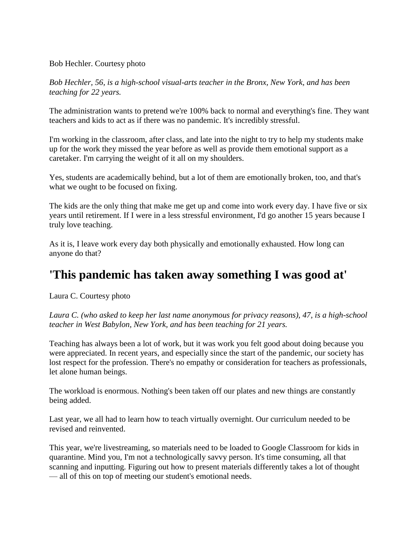#### Bob Hechler. Courtesy photo

*Bob Hechler, 56, is a high-school visual-arts teacher in the Bronx, New York, and has been teaching for 22 years.*

The administration wants to pretend we're 100% back to normal and everything's fine. They want teachers and kids to act as if there was no pandemic. It's incredibly stressful.

I'm working in the classroom, after class, and late into the night to try to help my students make up for the work they missed the year before as well as provide them emotional support as a caretaker. I'm carrying the weight of it all on my shoulders.

Yes, students are academically behind, but a lot of them are emotionally broken, too, and that's what we ought to be focused on fixing.

The kids are the only thing that make me get up and come into work every day. I have five or six years until retirement. If I were in a less stressful environment, I'd go another 15 years because I truly love teaching.

As it is, I leave work every day both physically and emotionally exhausted. How long can anyone do that?

#### **'This pandemic has taken away something I was good at'**

Laura C. Courtesy photo

*Laura C. (who asked to keep her last name anonymous for privacy reasons), 47, is a high-school teacher in West Babylon, New York, and has been teaching for 21 years.*

Teaching has always been a lot of work, but it was work you felt good about doing because you were appreciated. In recent years, and especially since the start of the pandemic, our society has lost respect for the profession. There's no empathy or consideration for teachers as professionals, let alone human beings.

The workload is enormous. Nothing's been taken off our plates and new things are constantly being added.

Last year, we all had to learn how to teach virtually overnight. Our curriculum needed to be revised and reinvented.

This year, we're livestreaming, so materials need to be loaded to Google Classroom for kids in quarantine. Mind you, I'm not a technologically savvy person. It's time consuming, all that scanning and inputting. Figuring out how to present materials differently takes a lot of thought — all of this on top of meeting our student's emotional needs.